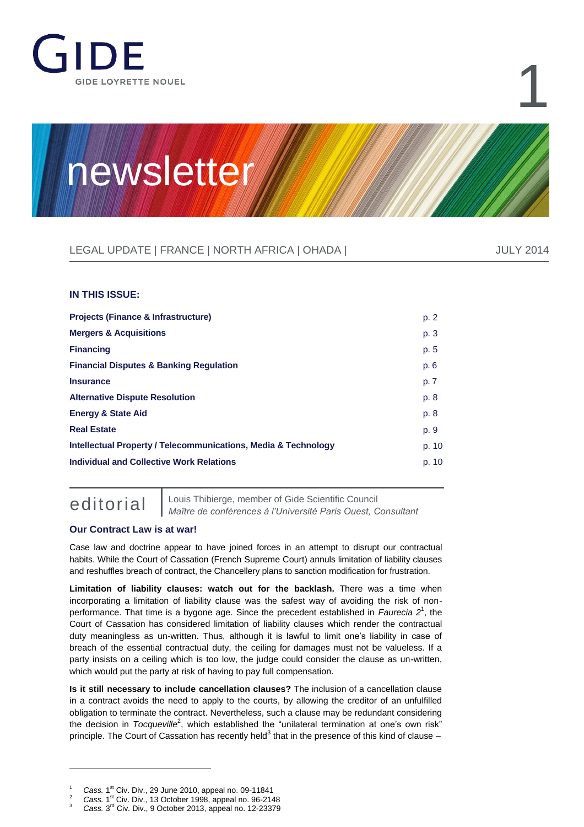

# 1

## newsletter

### LEGAL UPDATE | FRANCE | NORTH AFRICA | OHADA | JULY 2014 DILY 2014

#### **IN THIS ISSUE:**

| <b>Projects (Finance &amp; Infrastructure)</b>                            | p. 2  |
|---------------------------------------------------------------------------|-------|
| <b>Mergers &amp; Acquisitions</b>                                         | p. 3  |
| <b>Financing</b>                                                          | p. 5  |
| <b>Financial Disputes &amp; Banking Regulation</b>                        | p. 6  |
| <b>Insurance</b>                                                          | p. 7  |
| <b>Alternative Dispute Resolution</b>                                     | p. 8  |
| <b>Energy &amp; State Aid</b>                                             | p. 8  |
| <b>Real Estate</b>                                                        | p. 9  |
| <b>Intellectual Property / Telecommunications, Media &amp; Technology</b> | p. 10 |
| Individual and Collective Work Relations                                  | p. 10 |
|                                                                           |       |

 $\overline{a}$ 

editorial [Louis Thibierge,](http://www.gide.com/en/lawyers/louis-thibierge) member of Gide Scientific Council *Maître de conférences à l'Université Paris Ouest, Consultant*

#### **Our Contract Law is at war!**

Case law and doctrine appear to have joined forces in an attempt to disrupt our contractual habits. While the Court of Cassation (French Supreme Court) annuls limitation of liability clauses and reshuffles breach of contract, the Chancellery plans to sanction modification for frustration.

**Limitation of liability clauses: watch out for the backlash.** There was a time when incorporating a limitation of liability clause was the safest way of avoiding the risk of nonperformance. That time is a bygone age. Since the precedent established in *Faurecia 2*<sup>1</sup> , the Court of Cassation has considered limitation of liability clauses which render the contractual duty meaningless as un-written. Thus, although it is lawful to limit one's liability in case of breach of the essential contractual duty, the ceiling for damages must not be valueless. If a party insists on a ceiling which is too low, the judge could consider the clause as un-written, which would put the party at risk of having to pay full compensation.

**Is it still necessary to include cancellation clauses?** The inclusion of a cancellation clause in a contract avoids the need to apply to the courts, by allowing the creditor of an unfulfilled obligation to terminate the contract. Nevertheless, such a clause may be redundant considering the decision in *Tocqueville*<sup>2</sup>, which established the "unilateral termination at one's own risk" principle. The Court of Cassation has recently held<sup>3</sup> that in the presence of this kind of clause –

 $1 -$  *Cass.* 1<sup>st</sup> Civ. Div., 29 June 2010, appeal no. 09-11841

 $2^2$  *Cass.* 1<sup>st</sup> Civ. Div., 13 October 1998, appeal no. 96-2148

<sup>&</sup>lt;sup>3</sup> Cass. 3<sup>rd</sup> Civ. Div., 9 October 2013, appeal no. 12-23379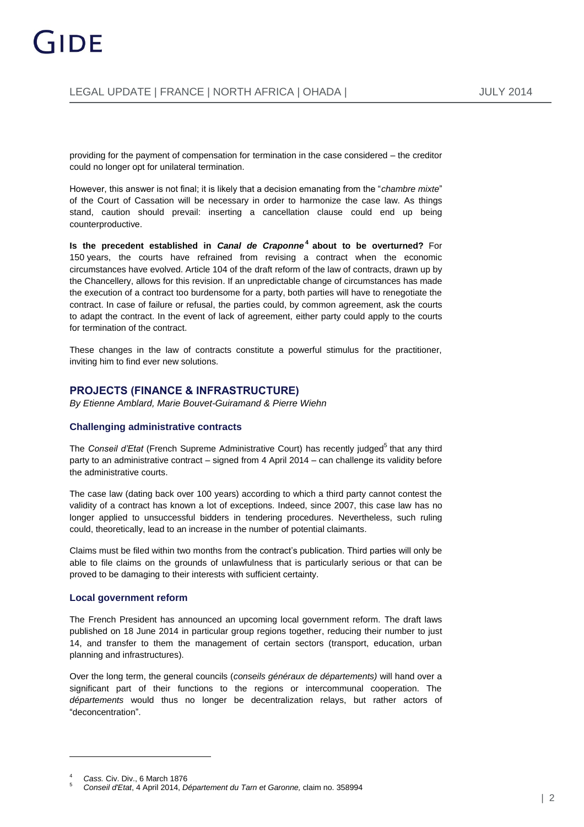providing for the payment of compensation for termination in the case considered – the creditor could no longer opt for unilateral termination.

However, this answer is not final; it is likely that a decision emanating from the "*chambre mixte*" of the Court of Cassation will be necessary in order to harmonize the case law. As things stand, caution should prevail: inserting a cancellation clause could end up being counterproductive.

**Is the precedent established in** *Canal de Craponne***<sup>4</sup> about to be overturned? For** 150 years, the courts have refrained from revising a contract when the economic circumstances have evolved. Article 104 of the draft reform of the law of contracts, drawn up by the Chancellery, allows for this revision. If an unpredictable change of circumstances has made the execution of a contract too burdensome for a party, both parties will have to renegotiate the contract. In case of failure or refusal, the parties could, by common agreement, ask the courts to adapt the contract. In the event of lack of agreement, either party could apply to the courts for termination of the contract.

These changes in the law of contracts constitute a powerful stimulus for the practitioner, inviting him to find ever new solutions.

#### **PROJECTS (FINANCE & INFRASTRUCTURE)**

*B[y Etienne Amblard,](http://www.gide.com/en/lawyers/etienne-amblard) [Marie Bouvet-Guiramand](http://www.gide.com/en/lawyers/marie-bouvet-guiramand) & [Pierre Wiehn](http://www.gide.com/en/lawyers/pierre-wiehn)*

#### **Challenging administrative contracts**

The Conseil d'Etat (French Supreme Administrative Court) has recently judged<sup>5</sup> that any third party to an administrative contract – signed from 4 April 2014 – can challenge its validity before the administrative courts.

The case law (dating back over 100 years) according to which a third party cannot contest the validity of a contract has known a lot of exceptions. Indeed, since 2007, this case law has no longer applied to unsuccessful bidders in tendering procedures. Nevertheless, such ruling could, theoretically, lead to an increase in the number of potential claimants.

Claims must be filed within two months from the contract's publication. Third parties will only be able to file claims on the grounds of unlawfulness that is particularly serious or that can be proved to be damaging to their interests with sufficient certainty.

#### **Local government reform**

The French President has announced an upcoming local government reform. The draft laws published on 18 June 2014 in particular group regions together, reducing their number to just 14, and transfer to them the management of certain sectors (transport, education, urban planning and infrastructures).

Over the long term, the general councils (*conseils généraux de départements)* will hand over a significant part of their functions to the regions or intercommunal cooperation. The *départements* would thus no longer be decentralization relays, but rather actors of "deconcentration".

 $\overline{a}$ 

<sup>4</sup> *Cass.* Civ. Div., 6 March 1876

<sup>5</sup> *Conseil d'Etat*, 4 April 2014, *Département du Tarn et Garonne,* claim no. 358994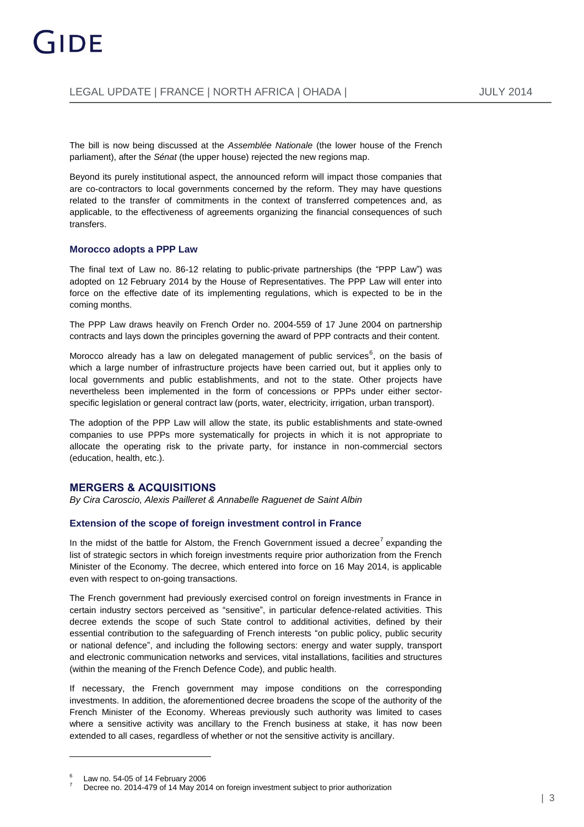The bill is now being discussed at the *Assemblée Nationale* (the lower house of the French parliament), after the *Sénat* (the upper house) rejected the new regions map.

Beyond its purely institutional aspect, the announced reform will impact those companies that are co-contractors to local governments concerned by the reform. They may have questions related to the transfer of commitments in the context of transferred competences and, as applicable, to the effectiveness of agreements organizing the financial consequences of such transfers.

#### **Morocco adopts a PPP Law**

The final text of Law no. 86-12 relating to public-private partnerships (the "PPP Law") was adopted on 12 February 2014 by the House of Representatives. The PPP Law will enter into force on the effective date of its implementing regulations, which is expected to be in the coming months.

The PPP Law draws heavily on French Order no. 2004-559 of 17 June 2004 on partnership contracts and lays down the principles governing the award of PPP contracts and their content.

Morocco already has a law on delegated management of public services $^6$ , on the basis of which a large number of infrastructure projects have been carried out, but it applies only to local governments and public establishments, and not to the state. Other projects have nevertheless been implemented in the form of concessions or PPPs under either sectorspecific legislation or general contract law (ports, water, electricity, irrigation, urban transport).

The adoption of the PPP Law will allow the state, its public establishments and state-owned companies to use PPPs more systematically for projects in which it is not appropriate to allocate the operating risk to the private party, for instance in non-commercial sectors (education, health, etc.).

#### **MERGERS & ACQUISITIONS**

*B[y Cira Caroscio,](http://www.gide.com/en/lawyers/cira-veronica-caroscio) [Alexis Pailleret](http://www.gide.com/en/lawyers/alexis-pailleret) & [Annabelle Raguenet de Saint Albin](http://www.gide.com/en/lawyers/annabelle-raguenet-de-saint-albin)*

#### **Extension of the scope of foreign investment control in France**

In the midst of the battle for Alstom, the French Government issued a decree<sup>7</sup> expanding the list of strategic sectors in which foreign investments require prior authorization from the French Minister of the Economy. The decree, which entered into force on 16 May 2014, is applicable even with respect to on-going transactions.

The French government had previously exercised control on foreign investments in France in certain industry sectors perceived as "sensitive", in particular defence-related activities. This decree extends the scope of such State control to additional activities, defined by their essential contribution to the safeguarding of French interests "on public policy, public security or national defence", and including the following sectors: energy and water supply, transport and electronic communication networks and services, vital installations, facilities and structures (within the meaning of the French Defence Code), and public health.

If necessary, the French government may impose conditions on the corresponding investments. In addition, the aforementioned decree broadens the scope of the authority of the French Minister of the Economy. Whereas previously such authority was limited to cases where a sensitive activity was ancillary to the French business at stake, it has now been extended to all cases, regardless of whether or not the sensitive activity is ancillary.

 $\overline{a}$ 

<sup>6</sup> Law no. 54-05 of 14 February 2006

Decree no. 2014-479 of 14 May 2014 on foreign investment subject to prior authorization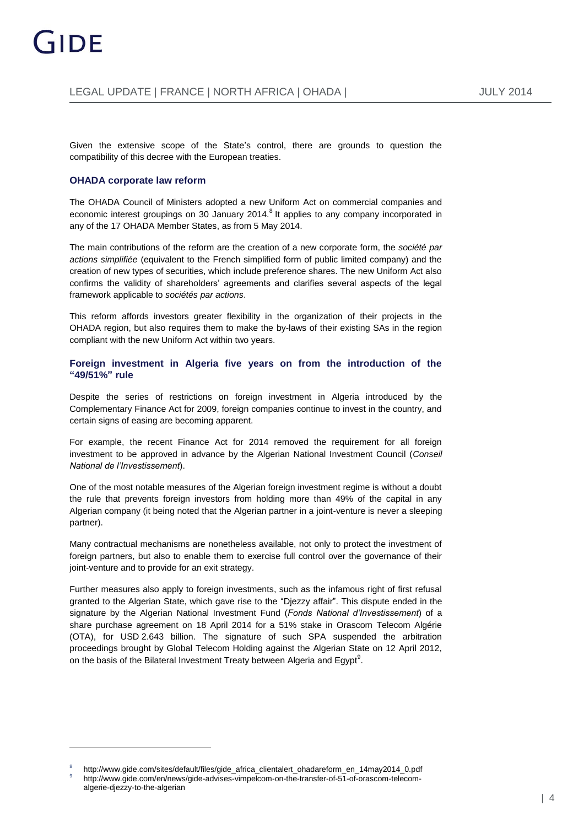Given the extensive scope of the State's control, there are grounds to question the compatibility of this decree with the European treaties.

#### **OHADA corporate law reform**

The OHADA Council of Ministers adopted a new Uniform Act on commercial companies and economic interest groupings on 30 January 2014.<sup>8</sup> It applies to any company incorporated in any of the 17 OHADA Member States, as from 5 May 2014.

The main contributions of the reform are the creation of a new corporate form, the *société par actions simplifiée* (equivalent to the French simplified form of public limited company) and the creation of new types of securities, which include preference shares. The new Uniform Act also confirms the validity of shareholders' agreements and clarifies several aspects of the legal framework applicable to *sociétés par actions*.

This reform affords investors greater flexibility in the organization of their projects in the OHADA region, but also requires them to make the by-laws of their existing SAs in the region compliant with the new Uniform Act within two years.

**Foreign investment in Algeria five years on from the introduction of the "49/51%" rule**

Despite the series of restrictions on foreign investment in Algeria introduced by the Complementary Finance Act for 2009, foreign companies continue to invest in the country, and certain signs of easing are becoming apparent.

For example, the recent Finance Act for 2014 removed the requirement for all foreign investment to be approved in advance by the Algerian National Investment Council (*Conseil National de l'Investissement*).

One of the most notable measures of the Algerian foreign investment regime is without a doubt the rule that prevents foreign investors from holding more than 49% of the capital in any Algerian company (it being noted that the Algerian partner in a joint-venture is never a sleeping partner).

Many contractual mechanisms are nonetheless available, not only to protect the investment of foreign partners, but also to enable them to exercise full control over the governance of their joint-venture and to provide for an exit strategy.

Further measures also apply to foreign investments, such as the infamous right of first refusal granted to the Algerian State, which gave rise to the "Djezzy affair". This dispute ended in the signature by the Algerian National Investment Fund (*Fonds National d'Investissement*) of a share purchase agreement on 18 April 2014 for a 51% stake in Orascom Telecom Algérie (OTA), for USD 2.643 billion. The signature of such SPA suspended the arbitration proceedings brought by Global Telecom Holding against the Algerian State on 12 April 2012, on the basis of the Bilateral Investment Treaty between Algeria and Egypt $^9$ .

<sup>8</sup> [http://www.gide.com/sites/default/files/gide\\_africa\\_clientalert\\_ohadareform\\_en\\_14may2014\\_0.pdf](http://www.gide.com/sites/default/files/gide_africa_clientalert_ohadareform_en_14may2014_0.pdf) 9 http://www.gide.com/en/news/gide-advises-vimpelcom-on-the-transfer-of-51-of-orascom-telecomalgerie-djezzy-to-the-algerian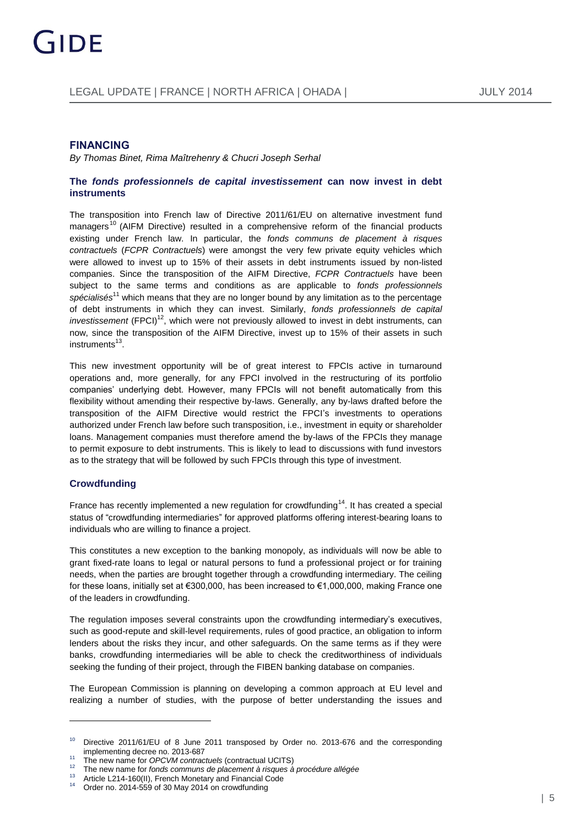#### **FINANCING**

*B[y Thomas Binet,](http://www.gide.com/en/lawyers/thomas-binet) [Rima Maîtrehenry](http://www.gide.com/en/lawyers/rima-maitrehenry) [& Chucri Joseph Serhal](http://www.gide.com/en/lawyers/chucri-joseph-serhal)*

#### **The** *fonds professionnels de capital investissement* **can now invest in debt instruments**

The transposition into French law of Directive 2011/61/EU on alternative investment fund managers<sup>10</sup> (AIFM Directive) resulted in a comprehensive reform of the financial products existing under French law. In particular, the *fonds communs de placement à risques contractuels* (*FCPR Contractuels*) were amongst the very few private equity vehicles which were allowed to invest up to 15% of their assets in debt instruments issued by non-listed companies. Since the transposition of the AIFM Directive, *FCPR Contractuels* have been subject to the same terms and conditions as are applicable to *fonds professionnels spécialisés*<sup>11</sup> which means that they are no longer bound by any limitation as to the percentage of debt instruments in which they can invest. Similarly, *fonds professionnels de capital investissement* (FPCI)<sup>12</sup>, which were not previously allowed to invest in debt instruments, can now, since the transposition of the AIFM Directive, invest up to 15% of their assets in such instruments<sup>13</sup>.

This new investment opportunity will be of great interest to FPCIs active in turnaround operations and, more generally, for any FPCI involved in the restructuring of its portfolio companies' underlying debt. However, many FPCIs will not benefit automatically from this flexibility without amending their respective by-laws. Generally, any by-laws drafted before the transposition of the AIFM Directive would restrict the FPCI's investments to operations authorized under French law before such transposition, i.e., investment in equity or shareholder loans. Management companies must therefore amend the by-laws of the FPCIs they manage to permit exposure to debt instruments. This is likely to lead to discussions with fund investors as to the strategy that will be followed by such FPCIs through this type of investment.

#### **Crowdfunding**

 $\overline{a}$ 

France has recently implemented a new regulation for crowdfunding<sup>14</sup>. It has created a special status of "crowdfunding intermediaries" for approved platforms offering interest-bearing loans to individuals who are willing to finance a project.

This constitutes a new exception to the banking monopoly, as individuals will now be able to grant fixed-rate loans to legal or natural persons to fund a professional project or for training needs, when the parties are brought together through a crowdfunding intermediary. The ceiling for these loans, initially set at €300,000, has been increased to €1,000,000, making France one of the leaders in crowdfunding.

The regulation imposes several constraints upon the crowdfunding intermediary's executives, such as good-repute and skill-level requirements, rules of good practice, an obligation to inform lenders about the risks they incur, and other safeguards. On the same terms as if they were banks, crowdfunding intermediaries will be able to check the creditworthiness of individuals seeking the funding of their project, through the FIBEN banking database on companies.

The European Commission is planning on developing a common approach at EU level and realizing a number of studies, with the purpose of better understanding the issues and

<sup>&</sup>lt;sup>10</sup> Directive 2011/61/EU of 8 June 2011 transposed by Order no. 2013-676 and the corresponding implementing decree no. 2013-687

<sup>11</sup> The new name for *OPCVM contractuels* (contractual UCITS)

<sup>&</sup>lt;sup>12</sup> The new name for *fonds communs de placement à risques à procédure allégée*<br><sup>13</sup> Article L944 460(II). Franch Menateur and Financial Cada

<sup>&</sup>lt;sup>13</sup> Article L214-160(II), French Monetary and Financial Code<br><sup>14</sup> Cross no. 2014 EEQ of 20 May 2014 ap aroughinging

Order no. 2014-559 of 30 May 2014 on crowdfunding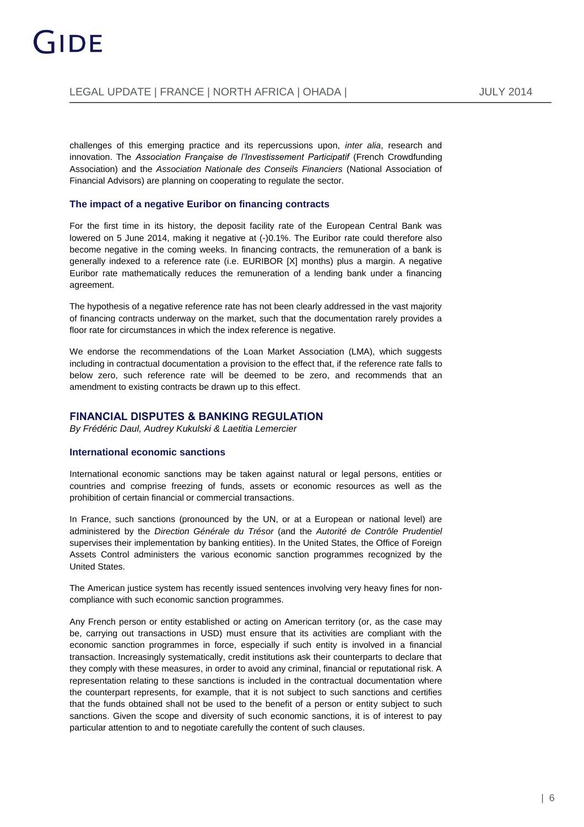challenges of this emerging practice and its repercussions upon, *inter alia*, research and innovation. The *Association Française de l'Investissement Participatif* (French Crowdfunding Association) and the *Association Nationale des Conseils Financiers* (National Association of Financial Advisors) are planning on cooperating to regulate the sector.

#### **The impact of a negative Euribor on financing contracts**

For the first time in its history, the deposit facility rate of the European Central Bank was lowered on 5 June 2014, making it negative at (-)0.1%. The Euribor rate could therefore also become negative in the coming weeks. In financing contracts, the remuneration of a bank is generally indexed to a reference rate (i.e. EURIBOR [X] months) plus a margin. A negative Euribor rate mathematically reduces the remuneration of a lending bank under a financing agreement.

The hypothesis of a negative reference rate has not been clearly addressed in the vast majority of financing contracts underway on the market, such that the documentation rarely provides a floor rate for circumstances in which the index reference is negative.

We endorse the recommendations of the Loan Market Association (LMA), which suggests including in contractual documentation a provision to the effect that, if the reference rate falls to below zero, such reference rate will be deemed to be zero, and recommends that an amendment to existing contracts be drawn up to this effect.

#### **FINANCIAL DISPUTES & BANKING REGULATION**

*B[y Frédéric Daul,](http://www.gide.com/en/lawyers/frederic-daul) [Audrey Kukulski](http://www.gide.com/en/lawyers/audrey-kukulski) [& Laetitia Lemercier](http://www.gide.com/en/lawyers/laetitia-lemercier)*

#### **International economic sanctions**

International economic sanctions may be taken against natural or legal persons, entities or countries and comprise freezing of funds, assets or economic resources as well as the prohibition of certain financial or commercial transactions.

In France, such sanctions (pronounced by the UN, or at a European or national level) are administered by the *Direction Générale du Trésor* (and the *Autorité de Contrôle Prudentiel* supervises their implementation by banking entities). In the United States, the Office of Foreign Assets Control administers the various economic sanction programmes recognized by the United States.

The American justice system has recently issued sentences involving very heavy fines for noncompliance with such economic sanction programmes.

Any French person or entity established or acting on American territory (or, as the case may be, carrying out transactions in USD) must ensure that its activities are compliant with the economic sanction programmes in force, especially if such entity is involved in a financial transaction. Increasingly systematically, credit institutions ask their counterparts to declare that they comply with these measures, in order to avoid any criminal, financial or reputational risk. A representation relating to these sanctions is included in the contractual documentation where the counterpart represents, for example, that it is not subject to such sanctions and certifies that the funds obtained shall not be used to the benefit of a person or entity subject to such sanctions. Given the scope and diversity of such economic sanctions, it is of interest to pay particular attention to and to negotiate carefully the content of such clauses.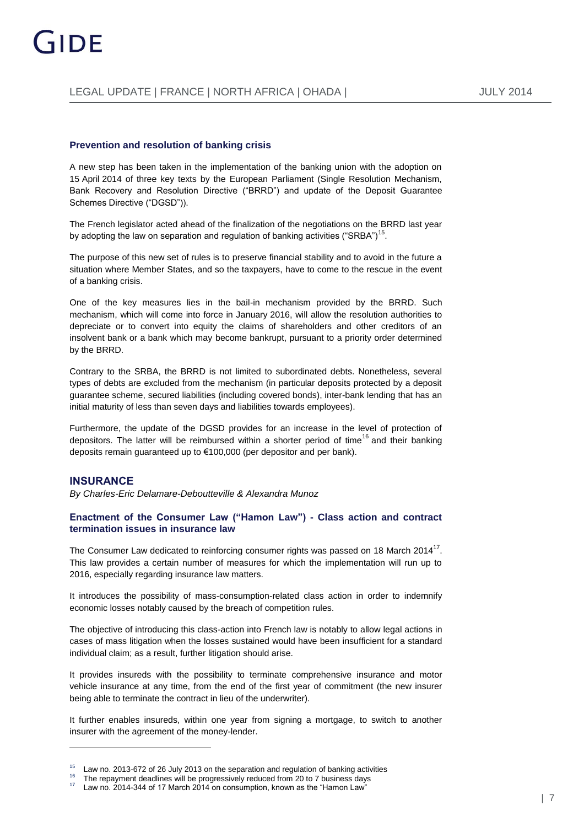#### **Prevention and resolution of banking crisis**

A new step has been taken in the implementation of the banking union with the adoption on 15 April 2014 of three key texts by the European Parliament (Single Resolution Mechanism, Bank Recovery and Resolution Directive ("BRRD") and update of the Deposit Guarantee Schemes Directive ("DGSD")).

The French legislator acted ahead of the finalization of the negotiations on the BRRD last year by adopting the law on separation and regulation of banking activities ("SRBA") $^{\mathsf{15}}$ .

The purpose of this new set of rules is to preserve financial stability and to avoid in the future a situation where Member States, and so the taxpayers, have to come to the rescue in the event of a banking crisis.

One of the key measures lies in the bail-in mechanism provided by the BRRD. Such mechanism, which will come into force in January 2016, will allow the resolution authorities to depreciate or to convert into equity the claims of shareholders and other creditors of an insolvent bank or a bank which may become bankrupt, pursuant to a priority order determined by the BRRD.

Contrary to the SRBA, the BRRD is not limited to subordinated debts. Nonetheless, several types of debts are excluded from the mechanism (in particular deposits protected by a deposit guarantee scheme, secured liabilities (including covered bonds), inter-bank lending that has an initial maturity of less than seven days and liabilities towards employees).

Furthermore, the update of the DGSD provides for an increase in the level of protection of depositors. The latter will be reimbursed within a shorter period of time<sup>16</sup> and their banking deposits remain guaranteed up to €100,000 (per depositor and per bank).

#### **INSURANCE**

*B[y Charles-Eric Delamare-Deboutteville](http://www.gide.com/en/lawyers/charles-eric-delamare-deboutteville) & [Alexandra Munoz](http://www.gide.com/en/lawyers/alexandra-munoz)*

#### **Enactment of the Consumer Law ("Hamon Law") - Class action and contract termination issues in insurance law**

The Consumer Law dedicated to reinforcing consumer rights was passed on 18 March 2014<sup>17</sup>. This law provides a certain number of measures for which the implementation will run up to 2016, especially regarding insurance law matters.

It introduces the possibility of mass-consumption-related class action in order to indemnify economic losses notably caused by the breach of competition rules.

The objective of introducing this class-action into French law is notably to allow legal actions in cases of mass litigation when the losses sustained would have been insufficient for a standard individual claim; as a result, further litigation should arise.

It provides insureds with the possibility to terminate comprehensive insurance and motor vehicle insurance at any time, from the end of the first year of commitment (the new insurer being able to terminate the contract in lieu of the underwriter).

It further enables insureds, within one year from signing a mortgage, to switch to another insurer with the agreement of the money-lender.

 $15$  Law no. 2013-672 of 26 July 2013 on the separation and regulation of banking activities

<sup>&</sup>lt;sup>16</sup> The repayment deadlines will be progressively reduced from 20 to 7 business days<br><sup>17</sup> Louise 2014, 244 of 17 March 2014 on consumption, known as the "Laman Lau"

Law no. 2014-344 of 17 March 2014 on consumption, known as the "Hamon Law"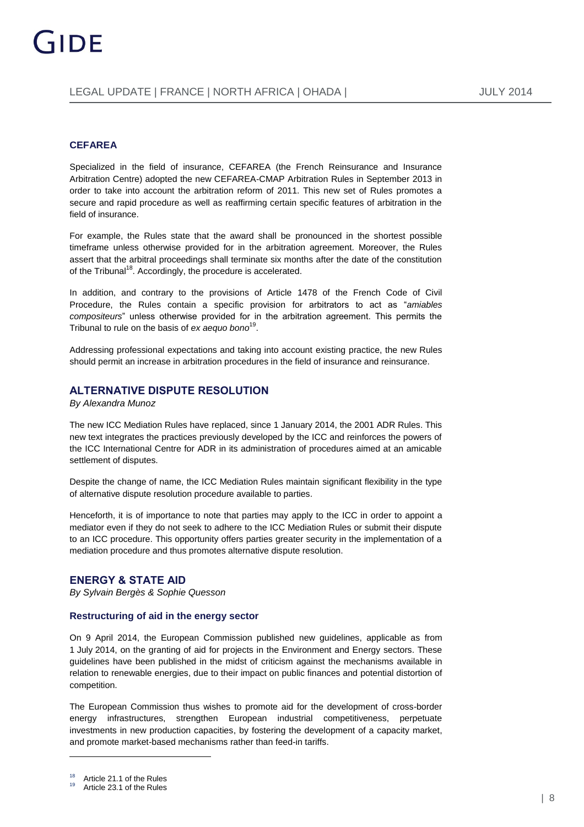#### **CEFAREA**

Specialized in the field of insurance, CEFAREA (the French Reinsurance and Insurance Arbitration Centre) adopted the new CEFAREA-CMAP Arbitration Rules in September 2013 in order to take into account the arbitration reform of 2011. This new set of Rules promotes a secure and rapid procedure as well as reaffirming certain specific features of arbitration in the field of insurance.

For example, the Rules state that the award shall be pronounced in the shortest possible timeframe unless otherwise provided for in the arbitration agreement. Moreover, the Rules assert that the arbitral proceedings shall terminate six months after the date of the constitution of the Tribunal<sup>18</sup>. Accordingly, the procedure is accelerated.

In addition, and contrary to the provisions of Article 1478 of the French Code of Civil Procedure, the Rules contain a specific provision for arbitrators to act as "*amiables compositeurs*" unless otherwise provided for in the arbitration agreement. This permits the Tribunal to rule on the basis of *ex aequo bono* 19 .

Addressing professional expectations and taking into account existing practice, the new Rules should permit an increase in arbitration procedures in the field of insurance and reinsurance.

#### **ALTERNATIVE DISPUTE RESOLUTION**

*B[y Alexandra Munoz](http://www.gide.com/en/lawyers/alexandra-munoz)*

The new ICC Mediation Rules have replaced, since 1 January 2014, the 2001 ADR Rules. This new text integrates the practices previously developed by the ICC and reinforces the powers of the ICC International Centre for ADR in its administration of procedures aimed at an amicable settlement of disputes.

Despite the change of name, the ICC Mediation Rules maintain significant flexibility in the type of alternative dispute resolution procedure available to parties.

Henceforth, it is of importance to note that parties may apply to the ICC in order to appoint a mediator even if they do not seek to adhere to the ICC Mediation Rules or submit their dispute to an ICC procedure. This opportunity offers parties greater security in the implementation of a mediation procedure and thus promotes alternative dispute resolution.

#### **ENERGY & STATE AID**

*B[y Sylvain Bergès](http://www.gide.com/en/lawyers/sylvain-berges) [& Sophie Quesson](http://www.gide.com/en/lawyers/sophie-quesson)*

#### **Restructuring of aid in the energy sector**

On 9 April 2014, the European Commission published new guidelines, applicable as from 1 July 2014, on the granting of aid for projects in the Environment and Energy sectors. These guidelines have been published in the midst of criticism against the mechanisms available in relation to renewable energies, due to their impact on public finances and potential distortion of competition.

The European Commission thus wishes to promote aid for the development of cross-border energy infrastructures, strengthen European industrial competitiveness, perpetuate investments in new production capacities, by fostering the development of a capacity market, and promote market-based mechanisms rather than feed-in tariffs.

 $\overline{a}$ 

Article 21.1 of the Rules

Article 23.1 of the Rules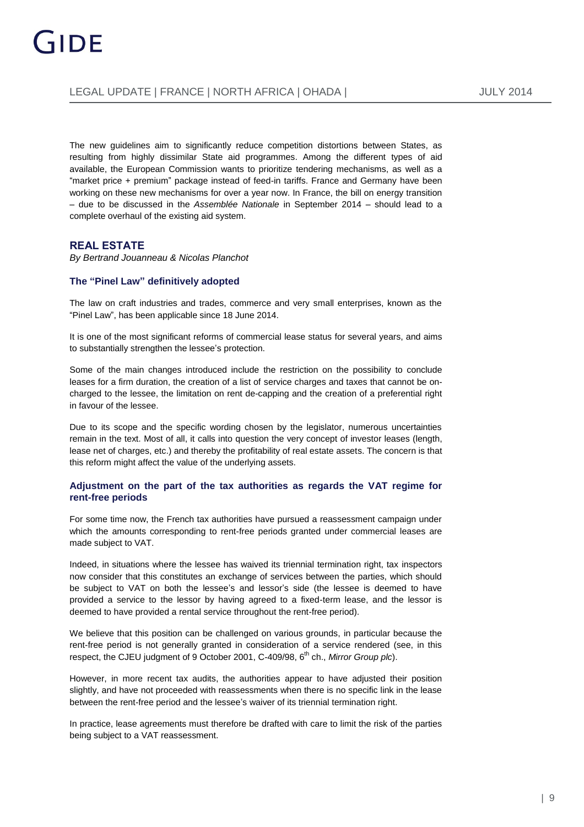The new guidelines aim to significantly reduce competition distortions between States, as resulting from highly dissimilar State aid programmes. Among the different types of aid available, the European Commission wants to prioritize tendering mechanisms, as well as a "market price + premium" package instead of feed-in tariffs. France and Germany have been working on these new mechanisms for over a year now. In France, the bill on energy transition ‒ due to be discussed in the *Assemblée Nationale* in September 2014 ‒ should lead to a complete overhaul of the existing aid system.

#### **REAL ESTATE**

*B[y Bertrand Jouanneau](http://www.gide.com/en/lawyers/bertrand-jouanneau) & [Nicolas Planchot](http://www.gide.com/en/lawyers/nicolas-planchot)*

#### **The "Pinel Law" definitively adopted**

The law on craft industries and trades, commerce and very small enterprises, known as the "Pinel Law", has been applicable since 18 June 2014.

It is one of the most significant reforms of commercial lease status for several years, and aims to substantially strengthen the lessee's protection.

Some of the main changes introduced include the restriction on the possibility to conclude leases for a firm duration, the creation of a list of service charges and taxes that cannot be oncharged to the lessee, the limitation on rent de-capping and the creation of a preferential right in favour of the lessee.

Due to its scope and the specific wording chosen by the legislator, numerous uncertainties remain in the text. Most of all, it calls into question the very concept of investor leases (length, lease net of charges, etc.) and thereby the profitability of real estate assets. The concern is that this reform might affect the value of the underlying assets.

#### **Adjustment on the part of the tax authorities as regards the VAT regime for rent-free periods**

For some time now, the French tax authorities have pursued a reassessment campaign under which the amounts corresponding to rent-free periods granted under commercial leases are made subject to VAT.

Indeed, in situations where the lessee has waived its triennial termination right, tax inspectors now consider that this constitutes an exchange of services between the parties, which should be subject to VAT on both the lessee's and lessor's side (the lessee is deemed to have provided a service to the lessor by having agreed to a fixed-term lease, and the lessor is deemed to have provided a rental service throughout the rent-free period).

We believe that this position can be challenged on various grounds, in particular because the rent-free period is not generally granted in consideration of a service rendered (see, in this respect, the CJEU judgment of 9 October 2001, C-409/98, 6<sup>th</sup> ch., Mirror Group plc).

However, in more recent tax audits, the authorities appear to have adjusted their position slightly, and have not proceeded with reassessments when there is no specific link in the lease between the rent-free period and the lessee's waiver of its triennial termination right.

In practice, lease agreements must therefore be drafted with care to limit the risk of the parties being subject to a VAT reassessment.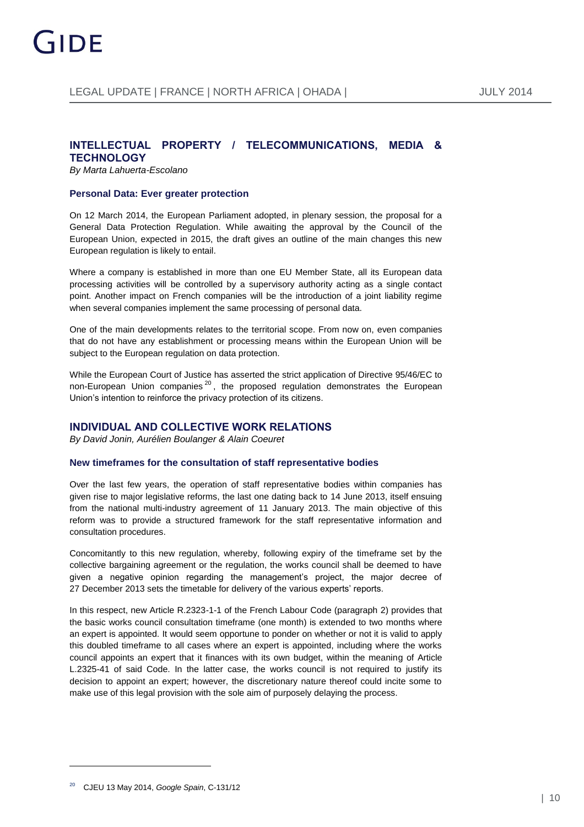#### **INTELLECTUAL PROPERTY / TELECOMMUNICATIONS, MEDIA & TECHNOLOGY**

*B[y Marta Lahuerta-Escolano](http://www.gide.com/en/lawyers/marta-lahuerta-escolano)*

#### **Personal Data: Ever greater protection**

On 12 March 2014, the European Parliament adopted, in plenary session, the proposal for a General Data Protection Regulation. While awaiting the approval by the Council of the European Union, expected in 2015, the draft gives an outline of the main changes this new European regulation is likely to entail.

Where a company is established in more than one EU Member State, all its European data processing activities will be controlled by a supervisory authority acting as a single contact point. Another impact on French companies will be the introduction of a joint liability regime when several companies implement the same processing of personal data.

One of the main developments relates to the territorial scope. From now on, even companies that do not have any establishment or processing means within the European Union will be subject to the European regulation on data protection.

While the European Court of Justice has asserted the strict application of Directive 95/46/EC to non-European Union companies<sup>20</sup>, the proposed regulation demonstrates the European Union's intention to reinforce the privacy protection of its citizens.

#### **INDIVIDUAL AND COLLECTIVE WORK RELATIONS**

*B[y David Jonin,](http://www.gide.com/en/lawyers/david-jonin) [Aurélien Boulanger](http://www.gide.com/en/lawyers/aurelien-boulanger) & [Alain Coeuret](http://www.gide.com/en/lawyers/alain-coeuret)*

#### **New timeframes for the consultation of staff representative bodies**

Over the last few years, the operation of staff representative bodies within companies has given rise to major legislative reforms, the last one dating back to 14 June 2013, itself ensuing from the national multi-industry agreement of 11 January 2013. The main objective of this reform was to provide a structured framework for the staff representative information and consultation procedures.

Concomitantly to this new regulation, whereby, following expiry of the timeframe set by the collective bargaining agreement or the regulation, the works council shall be deemed to have given a negative opinion regarding the management's project, the major decree of 27 December 2013 sets the timetable for delivery of the various experts' reports.

In this respect, new Article R.2323-1-1 of the French Labour Code (paragraph 2) provides that the basic works council consultation timeframe (one month) is extended to two months where an expert is appointed. It would seem opportune to ponder on whether or not it is valid to apply this doubled timeframe to all cases where an expert is appointed, including where the works council appoints an expert that it finances with its own budget, within the meaning of Article L.2325-41 of said Code. In the latter case, the works council is not required to justify its decision to appoint an expert; however, the discretionary nature thereof could incite some to make use of this legal provision with the sole aim of purposely delaying the process.